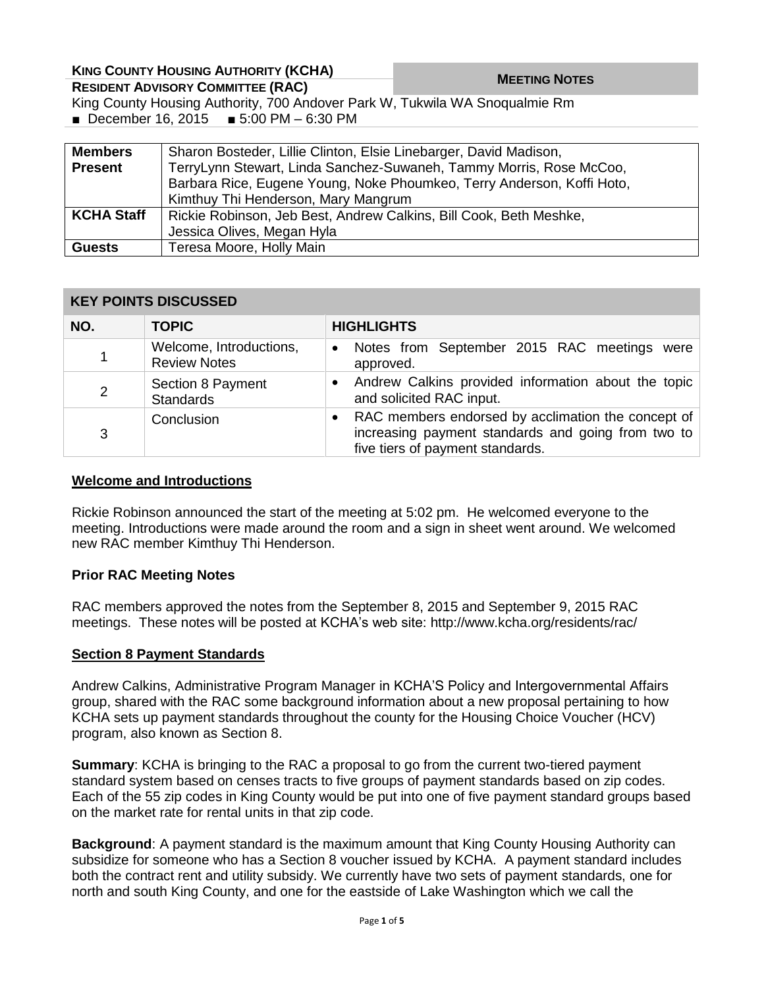| <b>KING COUNTY HOUSING AUTHORITY (KCHA)</b>                                 |                                                                        | <b>MEETING NOTES</b> |  |  |
|-----------------------------------------------------------------------------|------------------------------------------------------------------------|----------------------|--|--|
| <b>RESIDENT ADVISORY COMMITTEE (RAC)</b>                                    |                                                                        |                      |  |  |
| King County Housing Authority, 700 Andover Park W, Tukwila WA Snoqualmie Rm |                                                                        |                      |  |  |
| ■ December 16, 2015 ■ 5:00 PM - 6:30 PM                                     |                                                                        |                      |  |  |
|                                                                             |                                                                        |                      |  |  |
| <b>Members</b>                                                              | Sharon Bosteder, Lillie Clinton, Elsie Linebarger, David Madison,      |                      |  |  |
| <b>Present</b>                                                              | TerryLynn Stewart, Linda Sanchez-Suwaneh, Tammy Morris, Rose McCoo,    |                      |  |  |
|                                                                             | Barbara Rice, Eugene Young, Noke Phoumkeo, Terry Anderson, Koffi Hoto, |                      |  |  |
|                                                                             | Kimthuy Thi Henderson, Mary Mangrum                                    |                      |  |  |
| <b>KCHA Staff</b>                                                           | Rickie Robinson, Jeb Best, Andrew Calkins, Bill Cook, Beth Meshke,     |                      |  |  |
|                                                                             | Jessica Olives, Megan Hyla                                             |                      |  |  |

## **KEY POINTS DISCUSSED**

**Guests** | Teresa Moore, Holly Main

| NO.            | <b>TOPIC</b>                                   | <b>HIGHLIGHTS</b>                                                                                                                                         |
|----------------|------------------------------------------------|-----------------------------------------------------------------------------------------------------------------------------------------------------------|
| 1              | Welcome, Introductions,<br><b>Review Notes</b> | Notes from September 2015 RAC meetings were<br>$\bullet$<br>approved.                                                                                     |
| $\overline{2}$ | Section 8 Payment<br><b>Standards</b>          | Andrew Calkins provided information about the topic<br>and solicited RAC input.                                                                           |
| 3              | Conclusion                                     | RAC members endorsed by acclimation the concept of<br>$\bullet$<br>increasing payment standards and going from two to<br>five tiers of payment standards. |

## **Welcome and Introductions**

Rickie Robinson announced the start of the meeting at 5:02 pm. He welcomed everyone to the meeting. Introductions were made around the room and a sign in sheet went around. We welcomed new RAC member Kimthuy Thi Henderson.

### **Prior RAC Meeting Notes**

RAC members approved the notes from the September 8, 2015 and September 9, 2015 RAC meetings. These notes will be posted at KCHA's web site: http://www.kcha.org/residents/rac/

### **Section 8 Payment Standards**

Andrew Calkins, Administrative Program Manager in KCHA'S Policy and Intergovernmental Affairs group, shared with the RAC some background information about a new proposal pertaining to how KCHA sets up payment standards throughout the county for the Housing Choice Voucher (HCV) program, also known as Section 8.

**Summary**: KCHA is bringing to the RAC a proposal to go from the current two-tiered payment standard system based on censes tracts to five groups of payment standards based on zip codes. Each of the 55 zip codes in King County would be put into one of five payment standard groups based on the market rate for rental units in that zip code.

**Background**: A payment standard is the maximum amount that King County Housing Authority can subsidize for someone who has a Section 8 voucher issued by KCHA. A payment standard includes both the contract rent and utility subsidy. We currently have two sets of payment standards, one for north and south King County, and one for the eastside of Lake Washington which we call the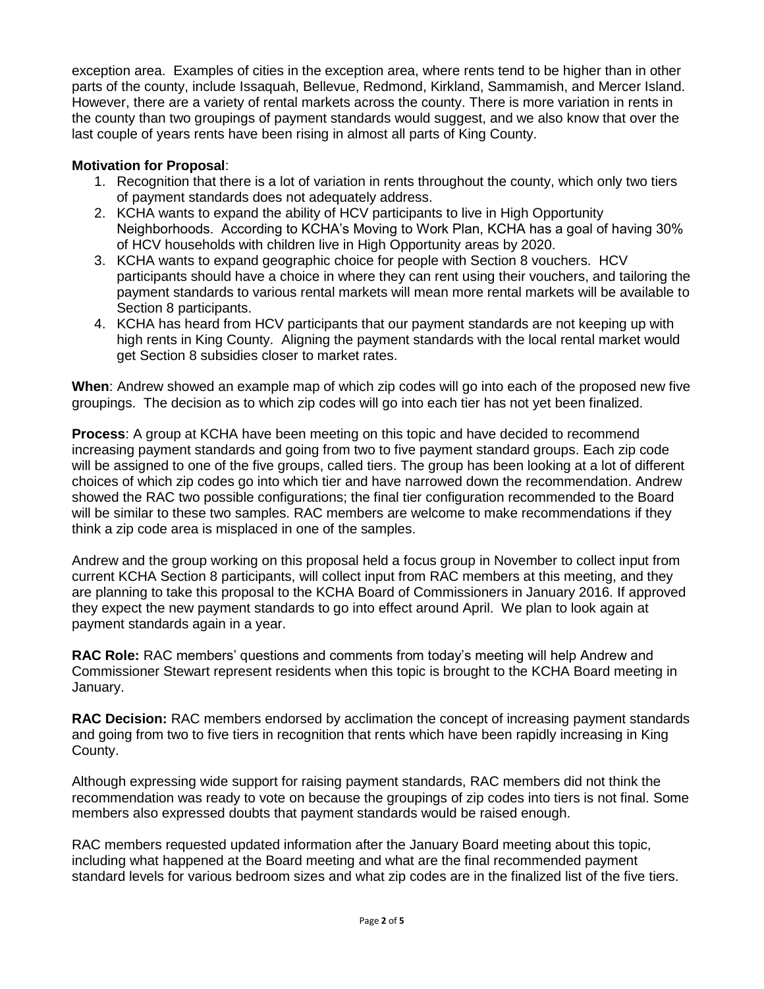exception area. Examples of cities in the exception area, where rents tend to be higher than in other parts of the county, include Issaquah, Bellevue, Redmond, Kirkland, Sammamish, and Mercer Island. However, there are a variety of rental markets across the county. There is more variation in rents in the county than two groupings of payment standards would suggest, and we also know that over the last couple of years rents have been rising in almost all parts of King County.

# **Motivation for Proposal**:

- 1. Recognition that there is a lot of variation in rents throughout the county, which only two tiers of payment standards does not adequately address.
- 2. KCHA wants to expand the ability of HCV participants to live in High Opportunity Neighborhoods. According to KCHA's Moving to Work Plan, KCHA has a goal of having 30% of HCV households with children live in High Opportunity areas by 2020.
- 3. KCHA wants to expand geographic choice for people with Section 8 vouchers. HCV participants should have a choice in where they can rent using their vouchers, and tailoring the payment standards to various rental markets will mean more rental markets will be available to Section 8 participants.
- 4. KCHA has heard from HCV participants that our payment standards are not keeping up with high rents in King County. Aligning the payment standards with the local rental market would get Section 8 subsidies closer to market rates.

**When**: Andrew showed an example map of which zip codes will go into each of the proposed new five groupings. The decision as to which zip codes will go into each tier has not yet been finalized.

**Process**: A group at KCHA have been meeting on this topic and have decided to recommend increasing payment standards and going from two to five payment standard groups. Each zip code will be assigned to one of the five groups, called tiers. The group has been looking at a lot of different choices of which zip codes go into which tier and have narrowed down the recommendation. Andrew showed the RAC two possible configurations; the final tier configuration recommended to the Board will be similar to these two samples. RAC members are welcome to make recommendations if they think a zip code area is misplaced in one of the samples.

Andrew and the group working on this proposal held a focus group in November to collect input from current KCHA Section 8 participants, will collect input from RAC members at this meeting, and they are planning to take this proposal to the KCHA Board of Commissioners in January 2016. If approved they expect the new payment standards to go into effect around April. We plan to look again at payment standards again in a year.

**RAC Role:** RAC members' questions and comments from today's meeting will help Andrew and Commissioner Stewart represent residents when this topic is brought to the KCHA Board meeting in January.

**RAC Decision:** RAC members endorsed by acclimation the concept of increasing payment standards and going from two to five tiers in recognition that rents which have been rapidly increasing in King County.

Although expressing wide support for raising payment standards, RAC members did not think the recommendation was ready to vote on because the groupings of zip codes into tiers is not final. Some members also expressed doubts that payment standards would be raised enough.

RAC members requested updated information after the January Board meeting about this topic, including what happened at the Board meeting and what are the final recommended payment standard levels for various bedroom sizes and what zip codes are in the finalized list of the five tiers.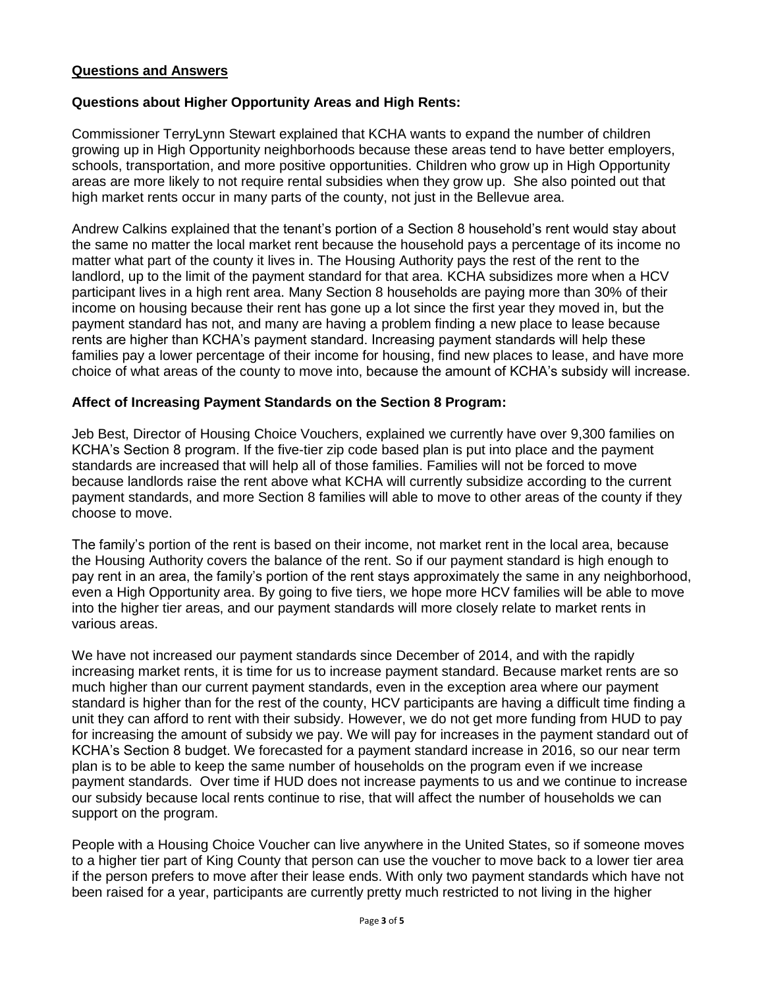## **Questions and Answers**

## **Questions about Higher Opportunity Areas and High Rents:**

Commissioner TerryLynn Stewart explained that KCHA wants to expand the number of children growing up in High Opportunity neighborhoods because these areas tend to have better employers, schools, transportation, and more positive opportunities. Children who grow up in High Opportunity areas are more likely to not require rental subsidies when they grow up. She also pointed out that high market rents occur in many parts of the county, not just in the Bellevue area.

Andrew Calkins explained that the tenant's portion of a Section 8 household's rent would stay about the same no matter the local market rent because the household pays a percentage of its income no matter what part of the county it lives in. The Housing Authority pays the rest of the rent to the landlord, up to the limit of the payment standard for that area. KCHA subsidizes more when a HCV participant lives in a high rent area. Many Section 8 households are paying more than 30% of their income on housing because their rent has gone up a lot since the first year they moved in, but the payment standard has not, and many are having a problem finding a new place to lease because rents are higher than KCHA's payment standard. Increasing payment standards will help these families pay a lower percentage of their income for housing, find new places to lease, and have more choice of what areas of the county to move into, because the amount of KCHA's subsidy will increase.

### **Affect of Increasing Payment Standards on the Section 8 Program:**

Jeb Best, Director of Housing Choice Vouchers, explained we currently have over 9,300 families on KCHA's Section 8 program. If the five-tier zip code based plan is put into place and the payment standards are increased that will help all of those families. Families will not be forced to move because landlords raise the rent above what KCHA will currently subsidize according to the current payment standards, and more Section 8 families will able to move to other areas of the county if they choose to move.

The family's portion of the rent is based on their income, not market rent in the local area, because the Housing Authority covers the balance of the rent. So if our payment standard is high enough to pay rent in an area, the family's portion of the rent stays approximately the same in any neighborhood, even a High Opportunity area. By going to five tiers, we hope more HCV families will be able to move into the higher tier areas, and our payment standards will more closely relate to market rents in various areas.

We have not increased our payment standards since December of 2014, and with the rapidly increasing market rents, it is time for us to increase payment standard. Because market rents are so much higher than our current payment standards, even in the exception area where our payment standard is higher than for the rest of the county, HCV participants are having a difficult time finding a unit they can afford to rent with their subsidy. However, we do not get more funding from HUD to pay for increasing the amount of subsidy we pay. We will pay for increases in the payment standard out of KCHA's Section 8 budget. We forecasted for a payment standard increase in 2016, so our near term plan is to be able to keep the same number of households on the program even if we increase payment standards. Over time if HUD does not increase payments to us and we continue to increase our subsidy because local rents continue to rise, that will affect the number of households we can support on the program.

People with a Housing Choice Voucher can live anywhere in the United States, so if someone moves to a higher tier part of King County that person can use the voucher to move back to a lower tier area if the person prefers to move after their lease ends. With only two payment standards which have not been raised for a year, participants are currently pretty much restricted to not living in the higher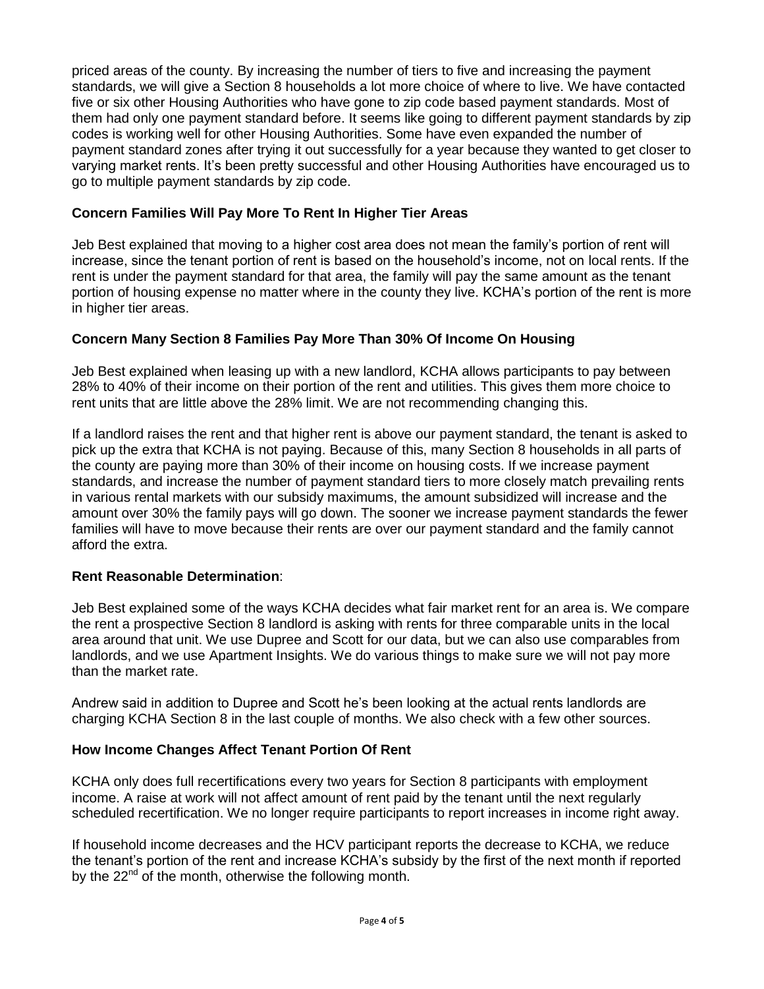priced areas of the county. By increasing the number of tiers to five and increasing the payment standards, we will give a Section 8 households a lot more choice of where to live. We have contacted five or six other Housing Authorities who have gone to zip code based payment standards. Most of them had only one payment standard before. It seems like going to different payment standards by zip codes is working well for other Housing Authorities. Some have even expanded the number of payment standard zones after trying it out successfully for a year because they wanted to get closer to varying market rents. It's been pretty successful and other Housing Authorities have encouraged us to go to multiple payment standards by zip code.

# **Concern Families Will Pay More To Rent In Higher Tier Areas**

Jeb Best explained that moving to a higher cost area does not mean the family's portion of rent will increase, since the tenant portion of rent is based on the household's income, not on local rents. If the rent is under the payment standard for that area, the family will pay the same amount as the tenant portion of housing expense no matter where in the county they live. KCHA's portion of the rent is more in higher tier areas.

# **Concern Many Section 8 Families Pay More Than 30% Of Income On Housing**

Jeb Best explained when leasing up with a new landlord, KCHA allows participants to pay between 28% to 40% of their income on their portion of the rent and utilities. This gives them more choice to rent units that are little above the 28% limit. We are not recommending changing this.

If a landlord raises the rent and that higher rent is above our payment standard, the tenant is asked to pick up the extra that KCHA is not paying. Because of this, many Section 8 households in all parts of the county are paying more than 30% of their income on housing costs. If we increase payment standards, and increase the number of payment standard tiers to more closely match prevailing rents in various rental markets with our subsidy maximums, the amount subsidized will increase and the amount over 30% the family pays will go down. The sooner we increase payment standards the fewer families will have to move because their rents are over our payment standard and the family cannot afford the extra.

## **Rent Reasonable Determination**:

Jeb Best explained some of the ways KCHA decides what fair market rent for an area is. We compare the rent a prospective Section 8 landlord is asking with rents for three comparable units in the local area around that unit. We use Dupree and Scott for our data, but we can also use comparables from landlords, and we use Apartment Insights. We do various things to make sure we will not pay more than the market rate.

Andrew said in addition to Dupree and Scott he's been looking at the actual rents landlords are charging KCHA Section 8 in the last couple of months. We also check with a few other sources.

## **How Income Changes Affect Tenant Portion Of Rent**

KCHA only does full recertifications every two years for Section 8 participants with employment income. A raise at work will not affect amount of rent paid by the tenant until the next regularly scheduled recertification. We no longer require participants to report increases in income right away.

If household income decreases and the HCV participant reports the decrease to KCHA, we reduce the tenant's portion of the rent and increase KCHA's subsidy by the first of the next month if reported by the 22<sup>nd</sup> of the month, otherwise the following month.